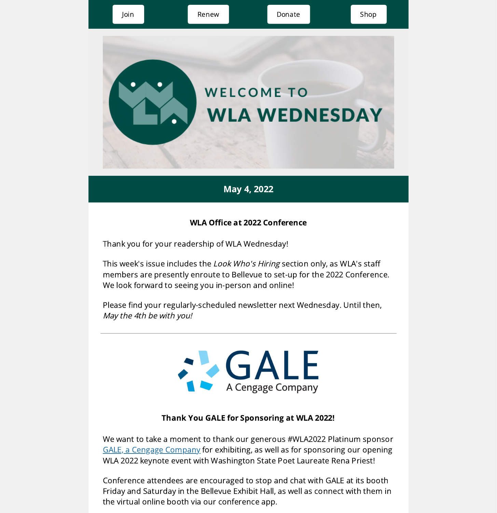

# May 4, 2022

### WLA Office at 2022 Conference

Thank you for your readership of WLA Wednesday!

This week's issue includes the *Look Who's Hiring* section only, as WLA's staff members are presently enroute to Bellevue to set-up for the 2022 Conference. We look forward to seeing you in-person and online!

Please find your regularly-scheduled newsletter next Wednesday. Until then, May the 4th be with you!

> **ALGALE** A Cengage Company

#### Thank You GALE for Sponsoring at WLA 2022!

We want to take a moment to thank our generous #WLA2022 Platinum sponsor GALE, a Cengage [Company](https://www.gale.com/) for exhibiting, as well as for sponsoring our opening WLA 2022 keynote event with Washington State Poet Laureate Rena Priest!

Conference attendees are encouraged to stop and chat with GALE at its booth Friday and Saturday in the Bellevue Exhibit Hall, as well as connect with them in the virtual online booth via our conference app.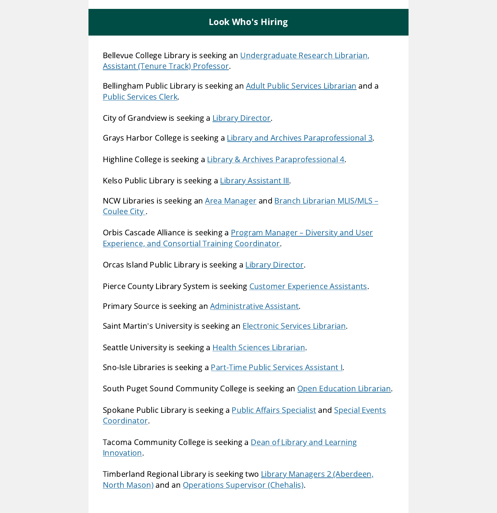## Look Who's Hiring

Bellevue College Library is seeking an [Undergraduate](https://hcprd.ctclink.us/psc/tam/EMPLOYEE/HRMS/c/HRS_HRAM_FL.HRS_CG_SEARCH_FL.GBL?Page=HRS_APP_SCHJOB_FL&Action=U) Research Librarian, Assistant (Tenure Track) Professor.

Bellingham Public Library is seeking an Adult Public Services [Librarian](https://www.governmentjobs.com/careers/cobwa/jobs/3508112/librarian-1) and a Public [Services](https://www.governmentjobs.com/careers/cobwa/jobs/3516478/library-clerk) Clerk.

City of Grandview is seeking a Library [Director](https://grandview.wa.us/departments/human-resources/job-openings/).

Grays Harbor College is seeking a Library and Archives [Paraprofessional](https://www.schooljobs.com/careers/ghc/jobs/3372844/library-and-archives-paraprofessional-3) 3.

Highline College is seeking a Library & Archives [Paraprofessional](https://www.schooljobs.com/careers/highline/jobs/3528934/library-archives-paraprofessional-4) 4.

Kelso Public Library is seeking a Library [Assistant](https://www.governmentjobs.com/careers/kelso/jobs/3149150/library-assistant-iii-administrative-assistant) III.

NCW Libraries is seeking an Area [Manager](https://www.ncwlibraries.org/currentopenings/) and Branch Librarian [MLIS/MLS](https://www.ncwlibraries.org/currentopenings/) – Coulee City.

Orbis Cascade Alliance is seeking a Program Manager – Diversity and User Experience, and Consortial Training [Coordinator.](https://www.orbiscascade.org/program-manager-diversity-and-user-experience-and-consortial-training-coordinator/)

Orcas Island Public Library is seeking a Library [Director.](https://www.orcaslibrary.org/jobs.html)

Pierce County Library System is seeking Customer [Experience](https://jobs.silkroad.com/PierceCountyLibrary/Careers?useSavedSearch=True) Assistants.

Primary Source is seeking an [Administrative](http://www.primarysourceseattle.com/job-opportunities.html) Assistant.

Saint Martin's University is seeking an [Electronic](https://workforcenow.adp.com/mascsr/default/mdf/recruitment/recruitment.html?cid=7138f757-560b-432d-a0d6-3a29cd79033e&ccId=19000101_000001&type=MP&lang=en_US) Services Librarian.

Seattle University is seeking a **Health Sciences Librarian**.

Sno-Isle Libraries is seeking a **[Part-Time](https://www.paycomonline.net/v4/ats/web.php/jobs/ViewJobDetails?job=56424&clientkey=7DCA7393E0FCBDDD24786ED549B71F9E) Public Services Assistant I**.

South Puget Sound Community College is seeking an Open [Education](https://www.schooljobs.com/careers/spscc/jobs/3387268/open-education-librarian-full-time-tenure-track) Librarian.

Spokane Public Library is seeking a **Public Affairs [Specialist](https://www.spokanelibrary.org/aboutus_libraryinformation_employmentopportunities/) and Special Events** [Coordinator.](https://www.spokanelibrary.org/aboutus_libraryinformation_employmentopportunities/)

Tacoma [Community](https://www.schooljobs.com/careers/tacomacc/jobs/3451010/dean-of-library-and-learning-innovation) College is seeking a Dean of Library and Learning Innovation.

[Timberland](https://www.governmentjobs.com/careers/timberland) Regional Library is seeking two Library Managers 2 (Aberdeen, North Mason) and an [Operations](https://www.governmentjobs.com/careers/timberland/jobs/3393215/operations-supervisor-chehalis?pagetype=jobOpportunitiesJobs) Supervisor (Chehalis).